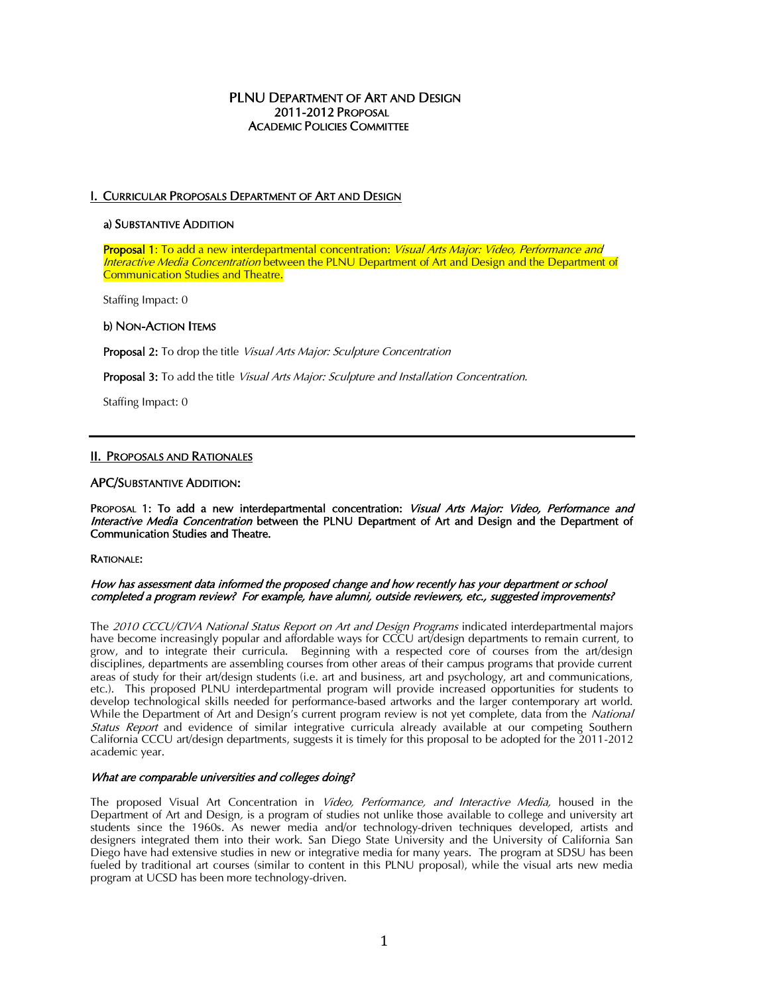## **PLNU DEPARTMENT OF ART AND DESIGN**  2011-2012 PROPOSAL ACADEMIC POLICIES COMMITTEE

## I. CURRICULAR PROPOSALS DEPARTMENT OF ART AND DESIGN

### a) SUBSTANTIVE ADDITION

Proposal 1: To add a new interdepartmental concentration: *Visual Arts Major: Video, Performance and*  Interactive Media Concentration between the PLNU Department of Art and Design and the Department of Communication Studies and Theatre.

Staffing Impact: 0

## b) NON-ACTION ITEMS

Proposal 2: To drop the title Visual Arts Major: Sculpture Concentration

Proposal 3: To add the title Visual Arts Major: Sculpture and Installation Concentration.

Staffing Impact: 0

## II. PROPOSALS AND RATIONALES

### APC/SUBSTANTIVE ADDITION:

PROPOSAL 1: To add a new interdepartmental concentration: Visual Arts Major: Video, Performance and Interactive Media Concentration between the PLNU Department of Art and Design and the Department of Communication Studies and Theatre.

### RATIONALE:

#### How has assessment data informed the proposed change and how recently has your department or school completed a program review? For example, have alumni, outside reviewers, etc., suggested improvements?

The 2010 CCCU/CIVA National Status Report on Art and Design Programs indicated interdepartmental majors have become increasingly popular and affordable ways for CCCU art/design departments to remain current, to grow, and to integrate their curricula. Beginning with a respected core of courses from the art/design disciplines, departments are assembling courses from other areas of their campus programs that provide current areas of study for their art/design students (i.e. art and business, art and psychology, art and communications, etc.). This proposed PLNU interdepartmental program will provide increased opportunities for students to develop technological skills needed for performance-based artworks and the larger contemporary art world. While the Department of Art and Design's current program review is not yet complete, data from the National Status Report and evidence of similar integrative curricula already available at our competing Southern California CCCU art/design departments, suggests it is timely for this proposal to be adopted for the 2011-2012 academic year.

### What are comparable universities and colleges doing?

The proposed Visual Art Concentration in Video, Performance, and Interactive Media, housed in the Department of Art and Design, is a program of studies not unlike those available to college and university art students since the 1960s. As newer media and/or technology-driven techniques developed, artists and designers integrated them into their work. San Diego State University and the University of California San Diego have had extensive studies in new or integrative media for many years. The program at SDSU has been fueled by traditional art courses (similar to content in this PLNU proposal), while the visual arts new media program at UCSD has been more technology-driven.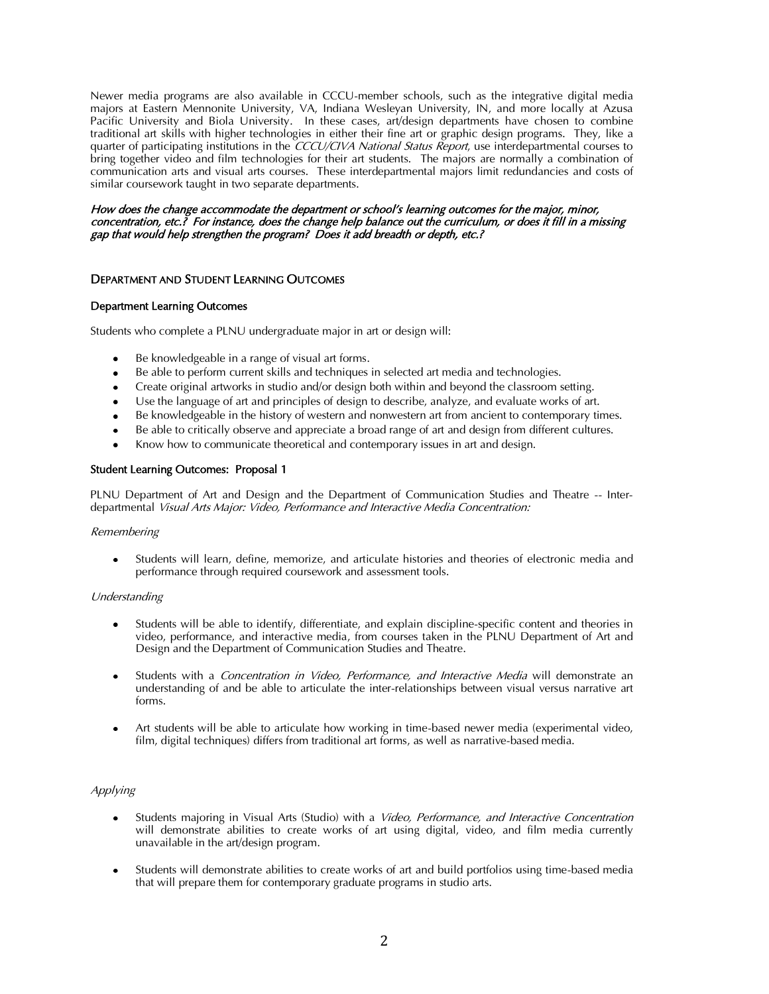Newer media programs are also available in CCCU-member schools, such as the integrative digital media majors at Eastern Mennonite University, VA, Indiana Wesleyan University, IN, and more locally at Azusa Pacific University and Biola University. In these cases, art/design departments have chosen to combine traditional art skills with higher technologies in either their fine art or graphic design programs. They, like a quarter of participating institutions in the CCCU/CIVA National Status Report, use interdepartmental courses to bring together video and film technologies for their art students. The majors are normally a combination of communication arts and visual arts courses. These interdepartmental majors limit redundancies and costs of similar coursework taught in two separate departments.

#### How does the change accommodate the department or school's learning outcomes for the major, minor, concentration, etc.? For instance, does the change help balance out the curriculum, or does it fill in a missing gap that would help strengthen the program? Does it add breadth or depth, etc.?

## DEPARTMENT AND STUDENT LEARNING OUTCOMES

### Department Learning Outcomes

Students who complete a PLNU undergraduate major in art or design will:

- Be knowledgeable in a range of visual art forms.
- Be able to perform current skills and techniques in selected art media and technologies.
- Create original artworks in studio and/or design both within and beyond the classroom setting.
- Use the language of art and principles of design to describe, analyze, and evaluate works of art.
- Be knowledgeable in the history of western and nonwestern art from ancient to contemporary times.
- Be able to critically observe and appreciate a broad range of art and design from different cultures.
- Know how to communicate theoretical and contemporary issues in art and design.

#### Student Learning Outcomes: Proposal 1

PLNU Department of Art and Design and the Department of Communication Studies and Theatre -- Interdepartmental Visual Arts Major: Video, Performance and Interactive Media Concentration:

#### **Remembering**

Students will learn, define, memorize, and articulate histories and theories of electronic media and performance through required coursework and assessment tools.

#### Understanding

- Students will be able to identify, differentiate, and explain discipline-specific content and theories in video, performance, and interactive media, from courses taken in the PLNU Department of Art and Design and the Department of Communication Studies and Theatre.
- Students with a Concentration in Video, Performance, and Interactive Media will demonstrate an understanding of and be able to articulate the inter-relationships between visual versus narrative art forms.
- Art students will be able to articulate how working in time-based newer media (experimental video, film, digital techniques) differs from traditional art forms, as well as narrative-based media.

#### Applying

- Students majoring in Visual Arts (Studio) with a *Video, Performance, and Interactive Concentration* will demonstrate abilities to create works of art using digital, video, and film media currently unavailable in the art/design program.
- Students will demonstrate abilities to create works of art and build portfolios using time-based media that will prepare them for contemporary graduate programs in studio arts.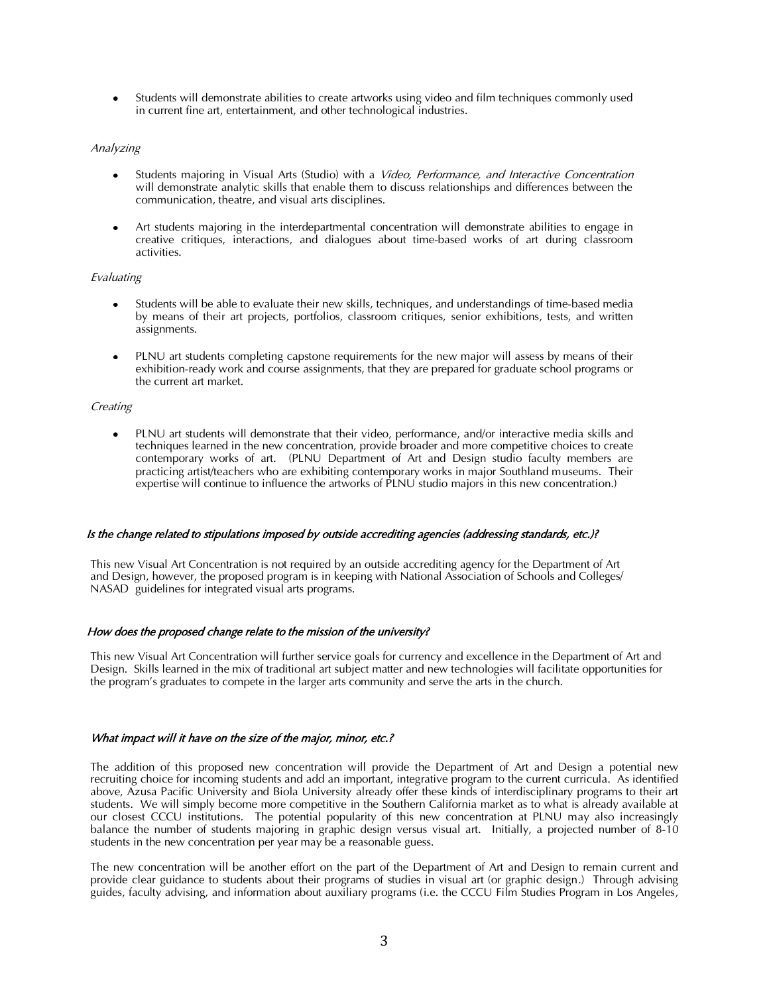Students will demonstrate abilities to create artworks using video and film techniques commonly used in current fine art, entertainment, and other technological industries.

#### Analyzing

- Students majoring in Visual Arts (Studio) with a *Video, Performance, and Interactive Concentration* will demonstrate analytic skills that enable them to discuss relationships and differences between the communication, theatre, and visual arts disciplines.
- Art students majoring in the interdepartmental concentration will demonstrate abilities to engage in creative critiques, interactions, and dialogues about time-based works of art during classroom activities.

#### Evaluating

- Students will be able to evaluate their new skills, techniques, and understandings of time-based media by means of their art projects, portfolios, classroom critiques, senior exhibitions, tests, and written assignments.
- PLNU art students completing capstone requirements for the new major will assess by means of their exhibition-ready work and course assignments, that they are prepared for graduate school programs or the current art market.

#### **Creating**

PLNU art students will demonstrate that their video, performance, and/or interactive media skills and techniques learned in the new concentration, provide broader and more competitive choices to create contemporary works of art. (PLNU Department of Art and Design studio faculty members are practicing artist/teachers who are exhibiting contemporary works in major Southland museums. Their expertise will continue to influence the artworks of PLNU studio majors in this new concentration.)

#### Is the change related to stipulations imposed by outside accrediting agencies (addressing standards, etc.)?

This new Visual Art Concentration is not required by an outside accrediting agency for the Department of Art and Design, however, the proposed program is in keeping with National Association of Schools and Colleges/ NASAD guidelines for integrated visual arts programs.

### How does the proposed change relate to the mission of the university?

This new Visual Art Concentration will further service goals for currency and excellence in the Department of Art and Design. Skills learned in the mix of traditional art subject matter and new technologies will facilitate opportunities for the program's graduates to compete in the larger arts community and serve the arts in the church.

### What impact will it have on the size of the major, minor, etc.?

The addition of this proposed new concentration will provide the Department of Art and Design a potential new recruiting choice for incoming students and add an important, integrative program to the current curricula. As identified above, Azusa Pacific University and Biola University already offer these kinds of interdisciplinary programs to their art students. We will simply become more competitive in the Southern California market as to what is already available at our closest CCCU institutions. The potential popularity of this new concentration at PLNU may also increasingly balance the number of students majoring in graphic design versus visual art. Initially, a projected number of 8-10 students in the new concentration per year may be a reasonable guess.

The new concentration will be another effort on the part of the Department of Art and Design to remain current and provide clear guidance to students about their programs of studies in visual art (or graphic design.) Through advising guides, faculty advising, and information about auxiliary programs (i.e. the CCCU Film Studies Program in Los Angeles,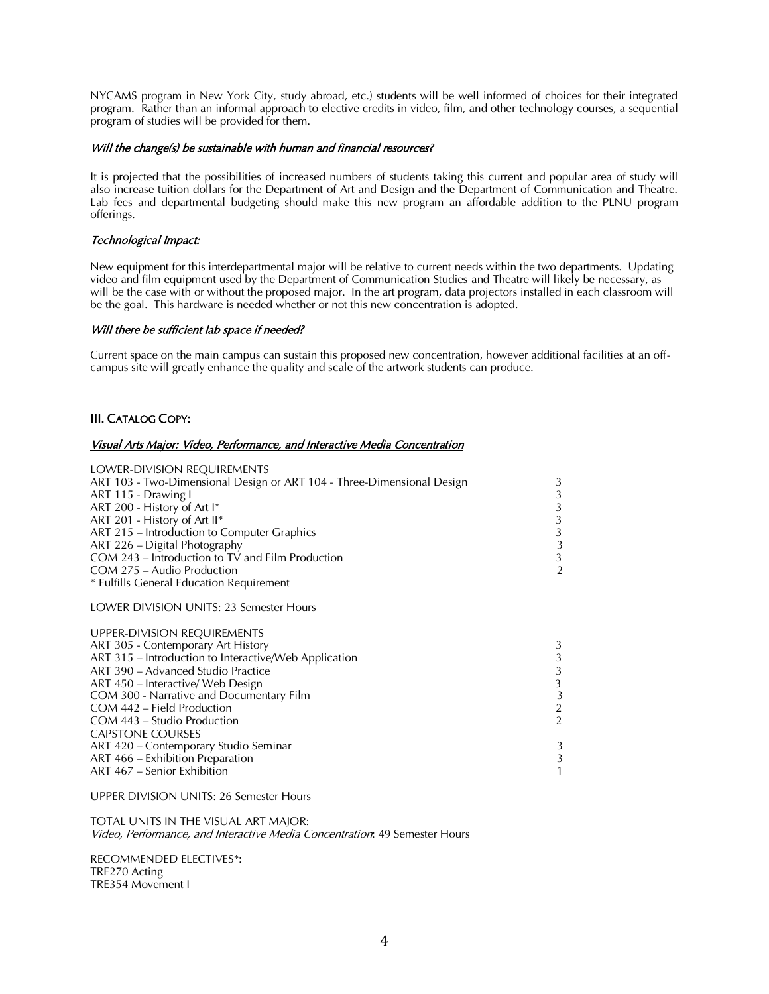NYCAMS program in New York City, study abroad, etc.) students will be well informed of choices for their integrated program. Rather than an informal approach to elective credits in video, film, and other technology courses, a sequential program of studies will be provided for them.

## Will the change(s) be sustainable with human and financial resources?

It is projected that the possibilities of increased numbers of students taking this current and popular area of study will also increase tuition dollars for the Department of Art and Design and the Department of Communication and Theatre. Lab fees and departmental budgeting should make this new program an affordable addition to the PLNU program offerings.

## Technological Impact:

New equipment for this interdepartmental major will be relative to current needs within the two departments. Updating video and film equipment used by the Department of Communication Studies and Theatre will likely be necessary, as will be the case with or without the proposed major. In the art program, data projectors installed in each classroom will be the goal. This hardware is needed whether or not this new concentration is adopted.

### Will there be sufficient lab space if needed?

Current space on the main campus can sustain this proposed new concentration, however additional facilities at an offcampus site will greatly enhance the quality and scale of the artwork students can produce.

# III. CATALOG COPY:

#### Visual Arts Major: Video, Performance, and Interactive Media Concentration

| LOWER-DIVISION REQUIREMENTS                                            |   |
|------------------------------------------------------------------------|---|
| ART 103 - Two-Dimensional Design or ART 104 - Three-Dimensional Design | 3 |
| ART 115 - Drawing I                                                    | 3 |
| ART 200 - History of Art I*                                            | 3 |
| ART 201 - History of Art II*                                           | 3 |
| ART 215 - Introduction to Computer Graphics                            | 3 |
| ART 226 - Digital Photography                                          | 3 |
| COM 243 – Introduction to TV and Film Production                       | 3 |
| COM 275 – Audio Production                                             | 2 |
| * Fulfills General Education Requirement                               |   |
| <b>LOWER DIVISION UNITS: 23 Semester Hours</b>                         |   |
| UPPER-DIVISION REQUIREMENTS                                            |   |

| <b>UPPER-DIVISION REQUIREMENTS</b>                    |   |
|-------------------------------------------------------|---|
| ART 305 - Contemporary Art History                    | 3 |
| ART 315 – Introduction to Interactive/Web Application | 3 |
| ART 390 – Advanced Studio Practice                    | 3 |
| ART 450 – Interactive/ Web Design                     | 3 |
| COM 300 - Narrative and Documentary Film              | 3 |
| COM 442 – Field Production                            | 2 |
| COM 443 – Studio Production                           | 2 |
| <b>CAPSTONE COURSES</b>                               |   |
| ART 420 - Contemporary Studio Seminar                 | 3 |
| ART 466 – Exhibition Preparation                      | 3 |
| ART 467 – Senior Exhibition                           | 1 |
|                                                       |   |

UPPER DIVISION UNITS: 26 Semester Hours

TOTAL UNITS IN THE VISUAL ART MAJOR: Video, Performance, and Interactive Media Concentration: 49 Semester Hours

RECOMMENDED ELECTIVES\*: TRE270 Acting TRE354 Movement I